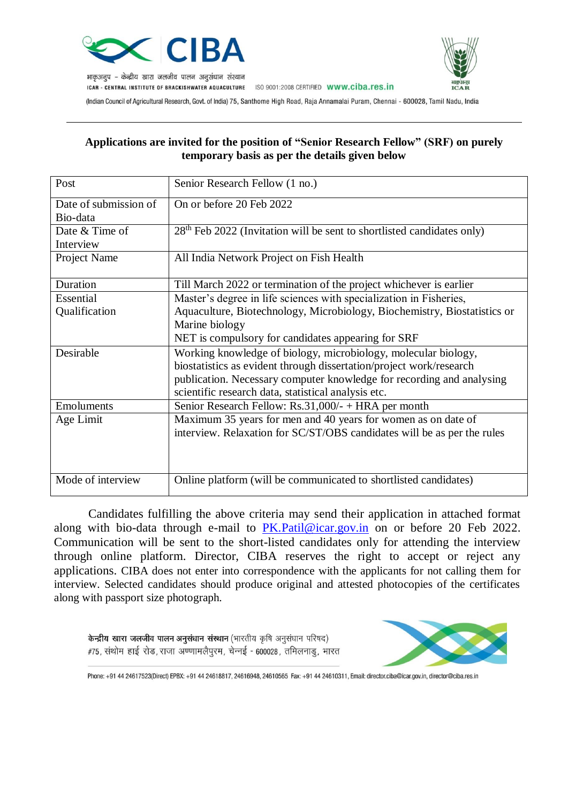



भाकुअनूप – केन्द्रीय खारा जलजीव पालन अनूसंधान संस्थान

ICAR - CENTRAL INSTITUTE OF BRACKISHWATER AQUACULTURE ISO 9001:2008 CERTIFIED WWW.CIDa.res.in

(Indian Council of Agricultural Research, Govt. of India) 75, Santhome High Road, Raja Annamalai Puram, Chennai - 600028, Tamil Nadu, India

## **Applications are invited for the position of "Senior Research Fellow" (SRF) on purely temporary basis as per the details given below**

| Post                                                                                       | Senior Research Fellow (1 no.)                                          |  |  |
|--------------------------------------------------------------------------------------------|-------------------------------------------------------------------------|--|--|
| Date of submission of                                                                      | On or before 20 Feb 2022                                                |  |  |
| Bio-data                                                                                   |                                                                         |  |  |
| Date & Time of<br>$28th$ Feb 2022 (Invitation will be sent to shortlisted candidates only) |                                                                         |  |  |
| Interview                                                                                  |                                                                         |  |  |
| Project Name                                                                               | All India Network Project on Fish Health                                |  |  |
| Duration                                                                                   | Till March 2022 or termination of the project whichever is earlier      |  |  |
| Essential                                                                                  | Master's degree in life sciences with specialization in Fisheries,      |  |  |
| Aquaculture, Biotechnology, Microbiology, Biochemistry, Biostatistics or<br>Qualification  |                                                                         |  |  |
|                                                                                            | Marine biology                                                          |  |  |
|                                                                                            | NET is compulsory for candidates appearing for SRF                      |  |  |
| Desirable                                                                                  | Working knowledge of biology, microbiology, molecular biology,          |  |  |
|                                                                                            | biostatistics as evident through dissertation/project work/research     |  |  |
|                                                                                            | publication. Necessary computer knowledge for recording and analysing   |  |  |
|                                                                                            | scientific research data, statistical analysis etc.                     |  |  |
| <b>Emoluments</b>                                                                          | Senior Research Fellow: Rs.31,000/- + HRA per month                     |  |  |
| Age Limit                                                                                  | Maximum 35 years for men and 40 years for women as on date of           |  |  |
|                                                                                            | interview. Relaxation for SC/ST/OBS candidates will be as per the rules |  |  |
|                                                                                            |                                                                         |  |  |
|                                                                                            |                                                                         |  |  |
| Mode of interview                                                                          | Online platform (will be communicated to shortlisted candidates)        |  |  |

Candidates fulfilling the above criteria may send their application in attached format along with bio-data through e-mail to [PK.Patil@icar.gov.in](mailto:PK.Patil@icar.gov.in) on or before 20 Feb 2022. Communication will be sent to the short-listed candidates only for attending the interview through online platform. Director, CIBA reserves the right to accept or reject any applications. CIBA does not enter into correspondence with the applicants for not calling them for interview. Selected candidates should produce original and attested photocopies of the certificates along with passport size photograph.

केन्द्रीय खारा जलजीव पालन अनुसंधान संस्थान (भारतीय कृषि अनुसंधान परिषद) #75, संथोम हाई रोड, राजा अण्णामलैपूरम, चेन्नई - 600028, तमिलनाडु, भारत



Phone: +91 44 24617523(Direct) EPBX: +91 44 24618817, 24616948, 24610565 Fax: +91 44 24610311, Email: director ciba@icar.gov.in, director@ciba.res.in